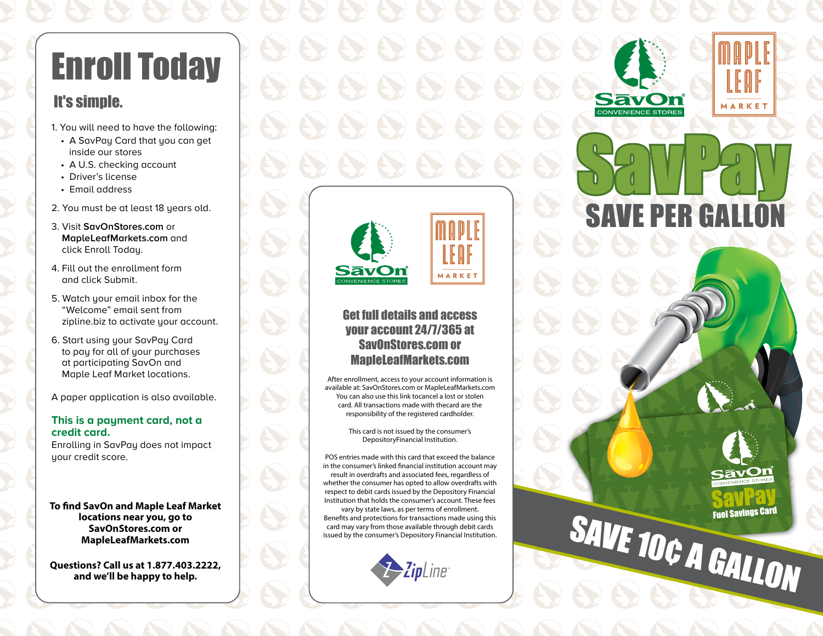# Enroll Today

## It's simple.

- 1. You will need to have the following:
	- A SavPay Card that you can get inside our stores
	- A U.S. checking account
	- Driver's license
	- Email address
- 2. You must be at least 18 years old.
- 3. Visit **SavOnStores.com** or **MapleLeafMarkets.com** and click Enroll Today.
- 4. Fill out the enrollment form and click Submit.
- 5. Watch your email inbox for the "Welcome" email sent from zipline.biz to activate your account.
- 6. Start using your SavPay Card to pay for all of your purchases at participating SavOn and Maple Leaf Market locations.

A paper application is also available.

#### **This is a payment card, not a credit card.**

Enrolling in SavPay does not impact your credit score.

**To find SavOn and Maple Leaf Market locations near you, go to SavOnStores.com or MapleLeafMarkets.com**

**Questions? Call us at 1.877.403.2222, and we'll be happy to help.**



## Get full details and access your account 24/7/365 at SavOnStores.com or MapleLeafMarkets.com

After enrollment, access to your account information is available at: SavOnStores.com or MapleLeafMarkets.com You can also use this link tocancel a lost or stolen card. All transactions made with thecard are the responsibility of the registered cardholder.

> This card is not issued by the consumer's DepositoryFinancial Institution.

POS entries made with this card that exceed the balance in the consumer's linked financial institution account may result in overdrafts and associated fees, regardless of whether the consumer has opted to allow overdrafts with respect to debit cards issued by the Depository Financial Institution that holds the consumer's account. These fees

vary by state laws, as per terms of enrollment. Benefits and protections for transactions made using this card may vary from those available through debit cards issued by the consumer's Depository Financial Institution.

2 ZipLine









SAVE 10¢ A GALLON